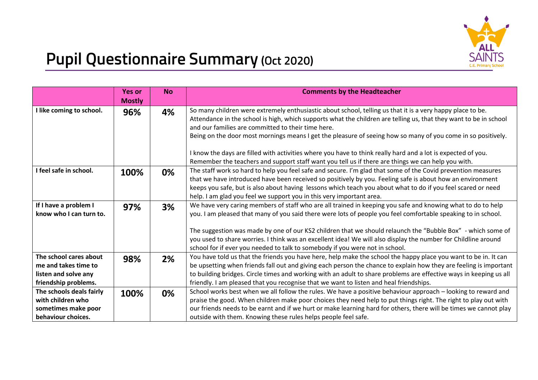

## **Pupil Questionnaire Summary (Oct 2020)**

|                                                                                                | <b>Yes or</b><br><b>Mostly</b> | <b>No</b> | <b>Comments by the Headteacher</b>                                                                                                                                                                                                                                                                                                                                                                                                                                                                                                            |
|------------------------------------------------------------------------------------------------|--------------------------------|-----------|-----------------------------------------------------------------------------------------------------------------------------------------------------------------------------------------------------------------------------------------------------------------------------------------------------------------------------------------------------------------------------------------------------------------------------------------------------------------------------------------------------------------------------------------------|
| I like coming to school.                                                                       | 96%                            | 4%        | So many children were extremely enthusiastic about school, telling us that it is a very happy place to be.<br>Attendance in the school is high, which supports what the children are telling us, that they want to be in school<br>and our families are committed to their time here.<br>Being on the door most mornings means I get the pleasure of seeing how so many of you come in so positively.<br>I know the days are filled with activities where you have to think really hard and a lot is expected of you.                         |
|                                                                                                |                                |           | Remember the teachers and support staff want you tell us if there are things we can help you with.                                                                                                                                                                                                                                                                                                                                                                                                                                            |
| I feel safe in school.                                                                         | 100%                           | 0%        | The staff work so hard to help you feel safe and secure. I'm glad that some of the Covid prevention measures<br>that we have introduced have been received so positively by you. Feeling safe is about how an environment<br>keeps you safe, but is also about having lessons which teach you about what to do if you feel scared or need<br>help. I am glad you feel we support you in this very important area.                                                                                                                             |
| If I have a problem I<br>know who I can turn to.                                               | 97%                            | 3%        | We have very caring members of staff who are all trained in keeping you safe and knowing what to do to help<br>you. I am pleased that many of you said there were lots of people you feel comfortable speaking to in school.<br>The suggestion was made by one of our KS2 children that we should relaunch the "Bubble Box" - which some of<br>you used to share worries. I think was an excellent idea! We will also display the number for Childline around<br>school for if ever you needed to talk to somebody if you were not in school. |
| The school cares about<br>me and takes time to<br>listen and solve any<br>friendship problems. | 98%                            | 2%        | You have told us that the friends you have here, help make the school the happy place you want to be in. It can<br>be upsetting when friends fall out and giving each person the chance to explain how they are feeling is important<br>to building bridges. Circle times and working with an adult to share problems are effective ways in keeping us all<br>friendly. I am pleased that you recognise that we want to listen and heal friendships.                                                                                          |
| The schools deals fairly<br>with children who<br>sometimes make poor<br>behaviour choices.     | 100%                           | 0%        | School works best when we all follow the rules. We have a positive behaviour approach - looking to reward and<br>praise the good. When children make poor choices they need help to put things right. The right to play out with<br>our friends needs to be earnt and if we hurt or make learning hard for others, there will be times we cannot play<br>outside with them. Knowing these rules helps people feel safe.                                                                                                                       |